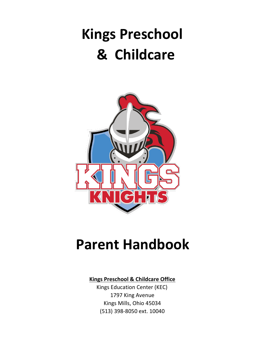# **Kings Preschool & Childcare**



# **Parent Handbook**

# **Kings Preschool & Childcare Office**

Kings Education Center (KEC) 1797 King Avenue Kings Mills, Ohio 45034 (513) 398-8050 ext. 10040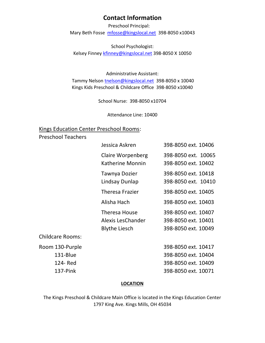# **Contact Information**

Preschool Principal:

Mary Beth Fosse mfosse@kingslocal.net 398-8050 x10043

School Psychologist: Kelsey Finney kfinney@kingslocal.net 398-8050 X 10050

Administrative Assistant: Tammy Nelson tnelson@kingslocal.net 398-8050 x 10040 Kings Kids Preschool & Childcare Office 398-8050 x10040

School Nurse: 398-8050 x10704

Attendance Line: 10400

# Kings Education Center Preschool Rooms:

Preschool Teachers

| Jessica Askren                                                    | 398-8050 ext. 10406                                               |
|-------------------------------------------------------------------|-------------------------------------------------------------------|
| <b>Claire Worpenberg</b><br>Katherine Monnin                      | 398-8050 ext. 10065<br>398-8050 ext. 10402                        |
| Tawnya Dozier<br>Lindsay Dunlap                                   | 398-8050 ext. 10418<br>398-8050 ext. 10410                        |
| <b>Theresa Frazier</b>                                            | 398-8050 ext. 10405                                               |
| Alisha Hach                                                       | 398-8050 ext. 10403                                               |
| <b>Theresa House</b><br>Alexis LesChander<br><b>Blythe Liesch</b> | 398-8050 ext. 10407<br>398-8050 ext. 10401<br>398-8050 ext. 10049 |
|                                                                   |                                                                   |

Childcare Rooms:

137-Pink

Room 130-Purple 398-8050 ext. 10417 131-Blue 398-8050 ext. 10404 124- Red 398-8050 ext. 10409 398-8050 ext. 10071

# **LOCATION**

The Kings Preschool & Childcare Main Office is located in the Kings Education Center 1797 King Ave. Kings Mills, OH 45034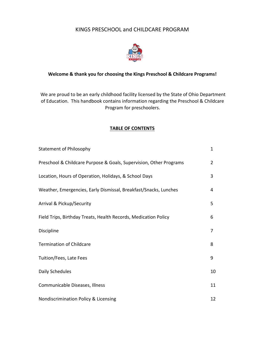# KINGS PRESCHOOL and CHILDCARE PROGRAM



# **Welcome & thank you for choosing the Kings Preschool & Childcare Programs!**

We are proud to be an early childhood facility licensed by the State of Ohio Department of Education. This handbook contains information regarding the Preschool & Childcare Program for preschoolers.

# **TABLE OF CONTENTS**

| <b>Statement of Philosophy</b>                                     | 1              |
|--------------------------------------------------------------------|----------------|
| Preschool & Childcare Purpose & Goals, Supervision, Other Programs | $\overline{2}$ |
| Location, Hours of Operation, Holidays, & School Days              | 3              |
| Weather, Emergencies, Early Dismissal, Breakfast/Snacks, Lunches   | 4              |
| Arrival & Pickup/Security                                          | 5              |
| Field Trips, Birthday Treats, Health Records, Medication Policy    | 6              |
| Discipline                                                         | 7              |
| <b>Termination of Childcare</b>                                    | 8              |
| Tuition/Fees, Late Fees                                            | 9              |
| Daily Schedules                                                    | 10             |
| Communicable Diseases, Illness                                     | 11             |
| Nondiscrimination Policy & Licensing                               | 12             |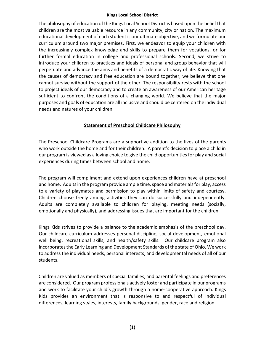# **Kings Local School District**

The philosophy of education of the Kings Local School District is based upon the belief that children are the most valuable resource in any community, city or nation. The maximum educational development of each student is our ultimate objective, and we formulate our curriculum around two major premises. First, we endeavor to equip your children with the increasingly complex knowledge and skills to prepare them for vocations, or for further formal education in college and professional schools. Second, we strive to introduce your children to practices and ideals of personal and group behavior that will perpetuate and advance the aims and benefits of a democratic way of life. Knowing that the causes of democracy and free education are bound together, we believe that one cannot survive without the support of the other. The responsibility rests with the school to project ideals of our democracy and to create an awareness of our American heritage sufficient to confront the conditions of a changing world. We believe that the major purposes and goals of education are all inclusive and should be centered on the individual needs and natures of your children.

# **Statement of Preschool Childcare Philosophy**

The Preschool Childcare Programs are a supportive addition to the lives of the parents who work outside the home and for their children. A parent's decision to place a child in our program is viewed as a loving choice to give the child opportunities for play and social experiences during times between school and home.

The program will compliment and extend upon experiences children have at preschool and home. Adults in the program provide ample time, space and materials for play, access to a variety of playmates and permission to play within limits of safety and courtesy. Children choose freely among activities they can do successfully and independently. Adults are completely available to children for playing, meeting needs (socially, emotionally and physically), and addressing issues that are important for the children.

Kings Kids strives to provide a balance to the academic emphasis of the preschool day. Our childcare curriculum addresses personal discipline, social development, emotional well being, recreational skills, and health/safety skills. Our childcare program also incorporates the Early Learning and Development Standards of the state of Ohio. We work to address the individual needs, personal interests, and developmental needs of all of our students.

Children are valued as members of special families, and parental feelings and preferences are considered. Our program professionals actively foster and participate in our programs and work to facilitate your child's growth through a home-cooperative approach. Kings Kids provides an environment that is responsive to and respectful of individual differences, learning styles, interests, family backgrounds, gender, race and religion.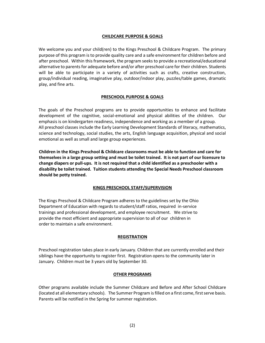#### **CHILDCARE PURPOSE & GOALS**

We welcome you and your child(ren) to the Kings Preschool & Childcare Program. The primary purpose of this program is to provide quality care and a safe environment for children before and after preschool. Within this framework, the program seeks to provide a recreational/educational alternative to parents for adequate before and/or after preschool care for their children. Students will be able to participate in a variety of activities such as crafts, creative construction, group/individual reading, imaginative play, outdoor/indoor play, puzzles/table games, dramatic play, and fine arts.

#### **PRESCHOOL PURPOSE & GOALS**

The goals of the Preschool programs are to provide opportunities to enhance and facilitate development of the cognitive, social-emotional and physical abilities of the children. Our emphasis is on kindergarten readiness, independence and working as a member of a group. All preschool classes include the Early Learning Development Standards of literacy, mathematics, science and technology, social studies, the arts, English language acquisition, physical and social emotional as well as small and large group experiences.

**Children in the Kings Preschool & Childcare classrooms must be able to function and care for themselves in a large group setting and must be toilet trained. It is not part of our licensure to change diapers or pull-ups. It is not required that a child identified as a preschooler with a disability be toilet trained. Tuition students attending the Special Needs Preschool classroom should be potty trained.** 

#### **KINGS PRESCHOOL STAFF/SUPERVISION**

The Kings Preschool & Childcare Program adheres to the guidelines set by the Ohio Department of Education with regards to student/staff ratios, required in-service trainings and professional development, and employee recruitment. We strive to provide the most efficient and appropriate supervision to all of our children in order to maintain a safe environment.

#### **REGISTRATION**

Preschool registration takes place in early January. Children that are currently enrolled and their siblings have the opportunity to register first. Registration opens to the community later in January. Children must be 3 years old by September 30.

#### **OTHER PROGRAMS**

Other programs available include the Summer Childcare and Before and After School Childcare (located at all elementary schools). The Summer Program is filled on a first come, first serve basis. Parents will be notified in the Spring for summer registration.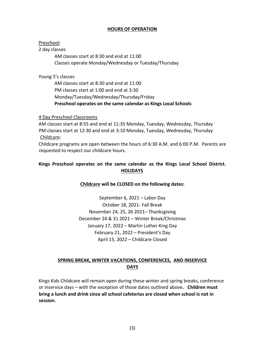# **HOURS OF OPERATION**

# Preschool:

# 2 day classes

AM classes start at 8:30 and end at 11:00 Classes operate Monday/Wednesday or Tuesday/Thursday

# Young 5's classes

AM classes start at 8:30 and end at 11:00 PM classes start at 1:00 and end at 3:30 Monday/Tuesday/Wednesday/Thursday/Friday **Preschool operates on the same calendar as Kings Local Schools** 

# 4 Day Preschool Classrooms

AM classes start at 8:55 and end at 11:35 Monday, Tuesday, Wednesday, Thursday PM classes start at 12:30 and end at 3:10 Monday, Tuesday, Wednesday, Thursday Childcare:

Childcare programs are open between the hours of 6:30 A.M. and 6:00 P.M. Parents are requested to respect our childcare hours.

# **Kings Preschool operates on the same calendar as the Kings Local School District. HOLIDAYS**

# **Childcare will be CLOSED on the following dates:**

September 6, 2021 – Labor Day October 18, 2021- Fall Break November 24, 25, 26 2021– Thanksgiving December 24 & 31 2021 – Winter Break/Christmas January 17, 2022 – Martin Luther King Day February 21, 2022 – President's Day April 15, 2022 – Childcare Closed

# **SPRING BREAK, WINTER VACATIONS, CONFERENCES, AND INSERVICE DAYS**

Kings Kids Childcare will remain open during these winter and spring breaks, conference or inservice days – with the exception of those dates outlined above**. Children must bring a lunch and drink since all school cafeterias are closed when school is not in session.**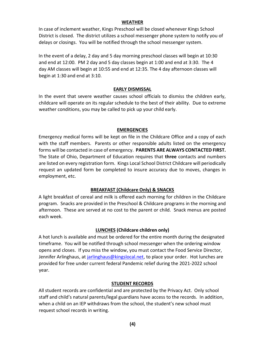#### **WEATHER**

In case of inclement weather, Kings Preschool will be closed whenever Kings School District is closed. The district utilizes a school messenger phone system to notify you of delays or closings. You will be notified through the school messenger system.

In the event of a delay, 2 day and 5 day morning preschool classes will begin at 10:30 and end at 12:00. PM 2 day and 5 day classes begin at 1:00 and end at 3:30. The 4 day AM classes will begin at 10:55 and end at 12:35. The 4 day afternoon classes will begin at 1:30 and end at 3:10.

# **EARLY DISMISSAL**

In the event that severe weather causes school officials to dismiss the children early, childcare will operate on its regular schedule to the best of their ability. Due to extreme weather conditions, you may be called to pick up your child early.

#### **EMERGENCIES**

Emergency medical forms will be kept on file in the Childcare Office and a copy of each with the staff members. Parents or other responsible adults listed on the emergency forms will be contacted in case of emergency. **PARENTS ARE ALWAYS CONTACTED FIRST.**  The State of Ohio, Department of Education requires that **three** contacts and numbers are listed on every registration form. Kings Local School District Childcare will periodically request an updated form be completed to insure accuracy due to moves, changes in employment, etc.

# **BREAKFAST (Childcare Only) & SNACKS**

A light breakfast of cereal and milk is offered each morning for children in the Childcare program. Snacks are provided in the Preschool & Childcare programs in the morning and afternoon. These are served at no cost to the parent or child. Snack menus are posted each week.

# **LUNCHES (Childcare children only)**

A hot lunch is available and must be ordered for the entire month during the designated timeframe. You will be notified through school messenger when the ordering window opens and closes. If you miss the window, you must contact the Food Service Director, Jennifer Arlinghaus, at jarlinghaus@kingslocal.net, to place your order. Hot lunches are provided for free under current federal Pandemic relief during the 2021-2022 school year.

# **STUDENT RECORDS**

All student records are confidential and are protected by the Privacy Act. Only school staff and child's natural parents/legal guardians have access to the records. In addition, when a child on an IEP withdraws from the school, the student's new school must request school records in writing.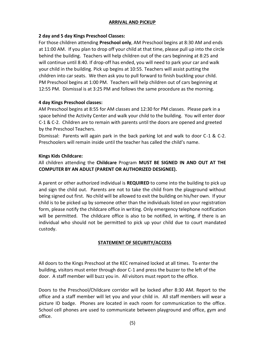# **ARRIVAL AND PICKUP**

# **2 day and 5 day Kings Preschool Classes:**

For those children attending **Preschool only**, AM Preschool begins at 8:30 AM and ends at 11:00 AM. If you plan to drop off your child at that time, please pull up into the circle behind the building. Teachers will help children out of the cars beginning at 8:25 and will continue until 8:40. If drop-off has ended, you will need to park your car and walk your child in the building. Pick up begins at 10:55. Teachers will assist putting the children into car seats. We then ask you to pull forward to finish buckling your child. PM Preschool begins at 1:00 PM. Teachers will help children out of cars beginning at 12:55 PM. Dismissal is at 3:25 PM and follows the same procedure as the morning.

# **4 day Kings Preschool classes:**

AM Preschool begins at 8:55 for AM classes and 12:30 for PM classes. Please park in a space behind the Activity Center and walk your child to the building. You will enter door C-1 & C-2. Children are to remain with parents until the doors are opened and greeted by the Preschool Teachers.

Dismissal: Parents will again park in the back parking lot and walk to door C-1 & C-2. Preschoolers will remain inside until the teacher has called the child's name.

# **Kings Kids Childcare:**

# All children attending the **Childcare** Program **MUST BE SIGNED IN AND OUT AT THE COMPUTER BY AN ADULT (PARENT OR AUTHORIZED DESIGNEE).**

A parent or other authorized individual is **REQUIRED** to come into the building to pick up and sign the child out. Parents are not to take the child from the playground without being signed out first. No child will be allowed to exit the building on his/her own. If your child is to be picked up by someone other than the individuals listed on your registration form, please notify the childcare office in writing. Only emergency telephone notification will be permitted. The childcare office is also to be notified, in writing, if there is an individual who should not be permitted to pick up your child due to court mandated custody.

# **STATEMENT OF SECURITY/ACCESS**

All doors to the Kings Preschool at the KEC remained locked at all times. To enter the building, visitors must enter through door C-1 and press the buzzer to the left of the door. A staff member will buzz you in. All visitors must report to the office.

Doors to the Preschool/Childcare corridor will be locked after 8:30 AM. Report to the office and a staff member will let you and your child in. All staff members will wear a picture ID badge. Phones are located in each room for communication to the office. School cell phones are used to communicate between playground and office, gym and office.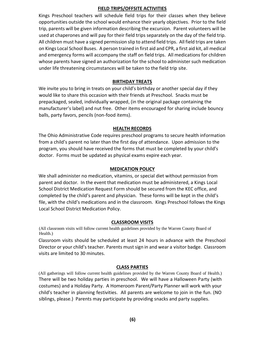# **FIELD TRIPS/OFFSITE ACTIVITIES**

Kings Preschool teachers will schedule field trips for their classes when they believe opportunities outside the school would enhance their yearly objectives. Prior to the field trip, parents will be given information describing the excursion. Parent volunteers will be used at chaperones and will pay for their field trips separately on the day of the field trip. All children must have a signed permission slip to attend field trips. All field trips are taken on Kings Local School Buses. A person trained in first aid and CPR, a first aid kit, all medical and emergency forms will accompany the staff on field trips. All medications for children whose parents have signed an authorization for the school to administer such medication under life threatening circumstances will be taken to the field trip site.

# **BIRTHDAY TREATS**

We invite you to bring in treats on your child's birthday or another special day if they would like to share this occasion with their friends at Preschool. Snacks must be prepackaged, sealed, individually wrapped, (in the original package containing the manufacturer's label) and nut free. Other items encouraged for sharing include bouncy balls, party favors, pencils (non-food items).

# **HEALTH RECORDS**

The Ohio Administrative Code requires preschool programs to secure health information from a child's parent no later than the first day of attendance. Upon admission to the program, you should have received the forms that must be completed by your child's doctor. Forms must be updated as physical exams expire each year.

# **MEDICATION POLICY**

We shall administer no medication, vitamins, or special diet without permission from parent and doctor. In the event that medication must be administered, a Kings Local School District Medication Request Form should be secured from the KEC office, and completed by the child's parent and physician. These forms will be kept in the child's file, with the child's medications and in the classroom. Kings Preschool follows the Kings Local School District Medication Policy.

# **CLASSROOM VISITS**

(All classroom visits will follow current health guidelines provided by the Warren County Board of Health.)

Classroom visits should be scheduled at least 24 hours in advance with the Preschool Director or your child's teacher. Parents must sign in and wear a visitor badge. Classroom visits are limited to 30 minutes.

# **CLASS PARTIES**

(All gatherings will follow current health guidelines provided by the Warren County Board of Health.) There will be two holiday parties in preschool. We will have a Halloween Party (with costumes) and a Holiday Party. A Homeroom Parent/Party Planner will work with your child's teacher in planning festivities. All parents are welcome to join in the fun. (NO siblings, please.) Parents may participate by providing snacks and party supplies.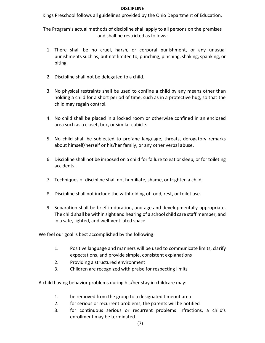# **DISCIPLINE**

Kings Preschool follows all guidelines provided by the Ohio Department of Education.

The Program's actual methods of discipline shall apply to all persons on the premises and shall be restricted as follows:

- 1. There shall be no cruel, harsh, or corporal punishment, or any unusual punishments such as, but not limited to, punching, pinching, shaking, spanking, or biting.
- 2. Discipline shall not be delegated to a child.
- 3. No physical restraints shall be used to confine a child by any means other than holding a child for a short period of time, such as in a protective hug, so that the child may regain control.
- 4. No child shall be placed in a locked room or otherwise confined in an enclosed area such as a closet, box, or similar cubicle.
- 5. No child shall be subjected to profane language, threats, derogatory remarks about himself/herself or his/her family, or any other verbal abuse.
- 6. Discipline shall not be imposed on a child for failure to eat or sleep, or for toileting accidents.
- 7. Techniques of discipline shall not humiliate, shame, or frighten a child.
- 8. Discipline shall not include the withholding of food, rest, or toilet use.
- 9. Separation shall be brief in duration, and age and developmentally-appropriate. The child shall be within sight and hearing of a school child care staff member, and in a safe, lighted, and well-ventilated space.

We feel our goal is best accomplished by the following:

- 1. Positive language and manners will be used to communicate limits, clarify expectations, and provide simple, consistent explanations
- 2. Providing a structured environment
- 3. Children are recognized with praise for respecting limits

A child having behavior problems during his/her stay in childcare may:

- 1. be removed from the group to a designated timeout area
- 2. for serious or recurrent problems, the parents will be notified
- 3. for continuous serious or recurrent problems infractions, a child's enrollment may be terminated.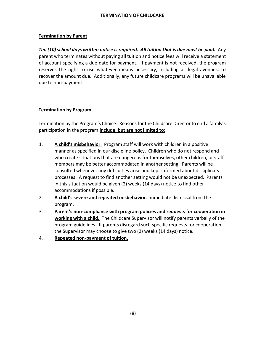# **TERMINATION OF CHILDCARE**

# **Termination by Parent**

*Ten (10) school days written notice is required. All tuition that is due must be paid.* Any parent who terminates without paying all tuition and notice fees will receive a statement of account specifying a due date for payment. If payment is not received, the program reserves the right to use whatever means necessary, including all legal avenues, to recover the amount due. Additionally, any future childcare programs will be unavailable due to non-payment.

# **Termination by Program**

Termination by the Program's Choice: Reasons for the Childcare Director to end a family's participation in the program **include, but are not limited to:**

- 1. **A child's misbehavior**. Program staff will work with children in a positive manner as specified in our discipline policy. Children who do not respond and who create situations that are dangerous for themselves, other children, or staff members may be better accommodated in another setting. Parents will be consulted whenever any difficulties arise and kept informed about disciplinary processes. A request to find another setting would not be unexpected. Parents in this situation would be given (2) weeks (14 days) notice to find other accommodations if possible.
- 2. **A child's severe and repeated misbehavior**. Immediate dismissal from the program.
- 3. **Parent's non-compliance with program policies and requests for cooperation in working with a child.** The Childcare Supervisor will notify parents verbally of the program guidelines. If parents disregard such specific requests for cooperation, the Supervisor may choose to give two (2) weeks (14 days) notice.
- 4. **Repeated non-payment of tuition.**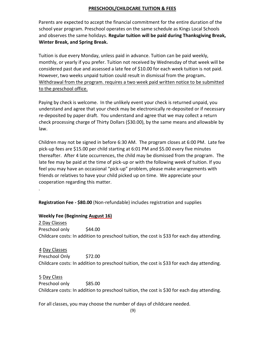# **PRESCHOOL/CHILDCARE TUITION & FEES**

Parents are expected to accept the financial commitment for the entire duration of the school year program. Preschool operates on the same schedule as Kings Local Schools and observes the same holidays. **Regular tuition will be paid during Thanksgiving Break, Winter Break, and Spring Break.** 

Tuition is due every Monday, unless paid in advance. Tuition can be paid weekly, monthly, or yearly if you prefer. Tuition not received by Wednesday of that week will be considered past due and assessed a late fee of \$10.00 for each week tuition is not paid. However, two weeks unpaid tuition could result in dismissal from the program**.**  Withdrawal from the program. requires a two week paid written notice to be submitted to the preschool office.

Paying by check is welcome. In the unlikely event your check is returned unpaid, you understand and agree that your check may be electronically re-deposited or if necessary re-deposited by paper draft. You understand and agree that we may collect a return check processing charge of Thirty Dollars (\$30.00), by the same means and allowable by law.

Children may not be signed in before 6:30 AM. The program closes at 6:00 PM. Late fee pick-up fees are \$15.00 per child starting at 6:01 PM and \$5.00 every five minutes thereafter. After 4 late occurrences, the child may be dismissed from the program. The late fee may be paid at the time of pick-up or with the following week of tuition. If you feel you may have an occasional "pick-up" problem, please make arrangements with friends or relatives to have your child picked up on time. We appreciate your cooperation regarding this matter.

**Registration Fee - \$80.00** (Non-refundable) includes registration and supplies

# **Weekly Fee (Beginning August 16)**

.

2 Day Classes Preschool only \$44.00 Childcare costs: In addition to preschool tuition, the cost is \$33 for each day attending.

4 Day Classes Preschool Only \$72.00 Childcare costs: In addition to preschool tuition, the cost is \$33 for each day attending.

5 Day Class Preschool only \$85.00 Childcare costs: In addition to preschool tuition, the cost is \$30 for each day attending.

For all classes, you may choose the number of days of childcare needed.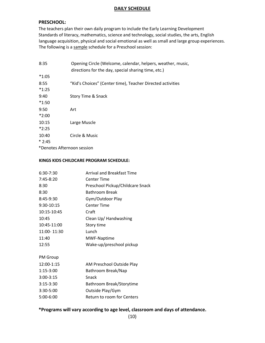#### **DAILY SCHEDULE**

#### **PRESCHOOL:**

The teachers plan their own daily program to include the Early Learning Development Standards of literacy, mathematics, science and technology, social studies, the arts, English language acquisition, physical and social emotional as well as small and large group experiences. The following is a sample schedule for a Preschool session:

| 8:35                       | Opening Circle (Welcome, calendar, helpers, weather, music,<br>directions for the day, special sharing time, etc.) |
|----------------------------|--------------------------------------------------------------------------------------------------------------------|
| $*1:05$                    |                                                                                                                    |
| 8:55                       | "Kid's Choices" (Center time), Teacher Directed activities                                                         |
| $*1:25$                    |                                                                                                                    |
| 9:40                       | Story Time & Snack                                                                                                 |
| $*1:50$                    |                                                                                                                    |
| 9:50                       | Art                                                                                                                |
| $*2:00$                    |                                                                                                                    |
| 10:15                      | Large Muscle                                                                                                       |
| $*2:25$                    |                                                                                                                    |
| 10:40                      | Circle & Music                                                                                                     |
| $*2:45$                    |                                                                                                                    |
| *Denotes Afternoon session |                                                                                                                    |

#### **KINGS KIDS CHILDCARE PROGRAM SCHEDULE:**

| 6:30-7:30   | <b>Arrival and Breakfast Time</b> |
|-------------|-----------------------------------|
| $7:45-8:20$ | <b>Center Time</b>                |
| 8:30        | Preschool Pickup/Childcare Snack  |
| 8:30        | <b>Bathroom Break</b>             |
| 8:45-9:30   | Gym/Outdoor Play                  |
| 9:30-10:15  | <b>Center Time</b>                |
| 10:15-10:45 | Craft                             |
| 10:45       | Clean Up/ Handwashing             |
| 10:45-11:00 | Story time                        |
| 11:00-11:30 | Lunch                             |
| 11:40       | MWF-Naptime                       |
| 12:55       | Wake-up/preschool pickup          |
| PM Group    |                                   |
| 12:00-1:15  | AM Preschool Outside Play         |
| $1:15-3:00$ | Bathroom Break/Nap                |
| $3:00-3:15$ | Snack                             |
| $3:15-3:30$ | Bathroom Break/Storytime          |
| 3:30-5:00   | Outside Play/Gym                  |
| 5:00-6:00   | Return to room for Centers        |
|             |                                   |

# **\*Programs will vary according to age level, classroom and days of attendance.**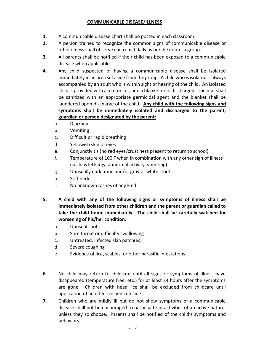# **COMMUNICABLE DISEASE/ILLNESS**

- **1.** A communicable disease chart shall be posted in each classroom.
- **2.** A person trained to recognize the common signs of communicable disease or other illness shall observe each child daily as he/she enters a group.
- **3.** All parents shall be notified if their child has been exposed to a communicable disease when applicable.
- **4.** Any child suspected of having a communicable disease shall be isolated immediately in an area set aside from the group. A child who is isolated is always accompanied by an adult who is within sight or hearing of the child. An isolated child is provided with a mat or cot, and a blanket until discharged. The mat shall be sanitized with an appropriate germicidal agent and the blanket shall be laundered upon discharge of the child**. Any child with the following signs and symptoms shall be immediately isolated and discharged to the parent, guardian or person designated by the parent:**
	- a. Diarrhea
	- b. Vomiting
	- c. Difficult or rapid breathing
	- d. Yellowish skin or eyes
	- e. Conjunctivitis (no red eyes/crustiness present to return to school)
	- f. Temperature of 100 F when in combination with any other sign of illness (such as lethargy, abnormal activity, vomiting)
	- g. Unusually dark urine and/or gray or white stool
	- h. Stiff neck
	- i. No unknown rashes of any kind.
- **5. A child with any of the following signs or symptoms of illness shall be immediately isolated from other children and the parent or guardian called to take the child home immediately. The child shall be carefully watched for worsening of his/her condition.** 
	- a. Unusual spots
	- b. Sore throat or difficulty swallowing
	- c. Untreated, infected skin patch(es)
	- d. Severe coughing
	- e. Evidence of lice, scabies, or other parasitic infestations
- **6.** No child may return to childcare until all signs or symptoms of illness have disappeared (temperature free, etc.) for at least 24 hours after the symptoms are gone. Children with head lice shall be excluded from childcare until application of an effective pediculocide.
- **7.** Children who are mildly ill but do not show symptoms of a communicable disease shall not be encouraged to participate in activities of an active nature, unless they so choose. Parents shall be notified of the child's symptoms and behaviors.